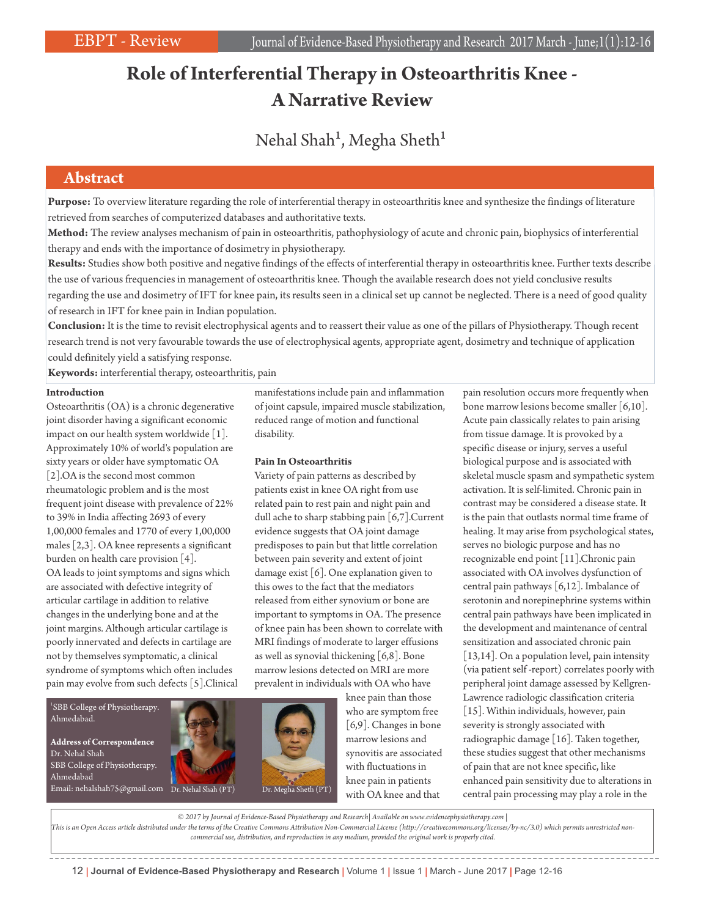# **Role of Interferential Therapy in Osteoarthritis Knee - A Narrative Review**

# Nehal Shah<sup>1</sup>, Megha Sheth<sup>1</sup>

## **Abstract**

**Purpose:** To overview literature regarding the role of interferential therapy in osteoarthritis knee and synthesize the findings of literature retrieved from searches of computerized databases and authoritative texts.

**Method:** The review analyses mechanism of pain in osteoarthritis, pathophysiology of acute and chronic pain, biophysics of interferential therapy and ends with the importance of dosimetry in physiotherapy.

**Results:** Studies show both positive and negative findings of the effects of interferential therapy in osteoarthritis knee. Further texts describe the use of various frequencies in management of osteoarthritis knee. Though the available research does not yield conclusive results regarding the use and dosimetry of IFT for knee pain, its results seen in a clinical set up cannot be neglected. There is a need of good quality of research in IFT for knee pain in Indian population.

**Conclusion:** It is the time to revisit electrophysical agents and to reassert their value as one of the pillars of Physiotherapy. Though recent research trend is not very favourable towards the use of electrophysical agents, appropriate agent, dosimetry and technique of application could definitely yield a satisfying response.

**Keywords:** interferential therapy, osteoarthritis, pain

### **Introduction**

Osteoarthritis (OA) is a chronic degenerative joint disorder having a significant economic impact on our health system worldwide [1]. Approximately 10% of world's population are sixty years or older have symptomatic OA [2].OA is the second most common rheumatologic problem and is the most frequent joint disease with prevalence of 22% to 39% in India affecting 2693 of every 1,00,000 females and 1770 of every 1,00,000 males [2,3]. OA knee represents a significant burden on health care provision [4]. OA leads to joint symptoms and signs which are associated with defective integrity of articular cartilage in addition to relative changes in the underlying bone and at the joint margins. Although articular cartilage is poorly innervated and defects in cartilage are not by themselves symptomatic, a clinical syndrome of symptoms which often includes pain may evolve from such defects [5].Clinical manifestations include pain and inflammation of joint capsule, impaired muscle stabilization, reduced range of motion and functional disability.

### **Pain In Osteoarthritis**

Variety of pain patterns as described by patients exist in knee OA right from use related pain to rest pain and night pain and dull ache to sharp stabbing pain [6,7].Current evidence suggests that OA joint damage predisposes to pain but that little correlation between pain severity and extent of joint damage exist [6]. One explanation given to this owes to the fact that the mediators released from either synovium or bone are important to symptoms in OA. The presence of knee pain has been shown to correlate with MRI findings of moderate to larger effusions as well as synovial thickening [6,8]. Bone marrow lesions detected on MRI are more prevalent in individuals with OA who have

knee pain than those who are symptom free [6,9]. Changes in bone marrow lesions and synovitis are associated with fluctuations in knee pain in patients with OA knee and that

pain resolution occurs more frequently when bone marrow lesions become smaller [6,10]. Acute pain classically relates to pain arising from tissue damage. It is provoked by a specific disease or injury, serves a useful biological purpose and is associated with skeletal muscle spasm and sympathetic system activation. It is self-limited. Chronic pain in contrast may be considered a disease state. It is the pain that outlasts normal time frame of healing. It may arise from psychological states, serves no biologic purpose and has no recognizable end point [11].Chronic pain associated with OA involves dysfunction of central pain pathways [6,12]. Imbalance of serotonin and norepinephrine systems within central pain pathways have been implicated in the development and maintenance of central sensitization and associated chronic pain [13,14]. On a population level, pain intensity (via patient self -report) correlates poorly with peripheral joint damage assessed by Kellgren-Lawrence radiologic classification criteria [15]. Within individuals, however, pain severity is strongly associated with radiographic damage [16]. Taken together, these studies suggest that other mechanisms of pain that are not knee specific, like enhanced pain sensitivity due to alterations in central pain processing may play a role in the

*© 2017 by Journal of Evidence-Based Physiotherapy and Research| Available on www.evidencephysiotherapy.com |* 

*This is an Open Access article distributed under the terms of the Creative Commons Attribution Non-Commercial License (http://creativecommons.org/licenses/by-nc/3.0) which permits unrestricted noncommercial use, distribution, and reproduction in any medium, provided the original work is properly cited.*

<sup>1</sup>SBB College of Physiotherapy. Ahmedabad. **Address of Correspondence** Dr. Nehal Shah SBB College of Physiotherapy. Ahmedabad Email: nehalshah75@gmail.com Dr. Nehal Shah (PT) Dr. Megha Sheth (PT)

12 | **Journal of Evidence-Based Physiotherapy and Research** | Volume 1 | Issue 1 | March - June 2017 | Page 12-16

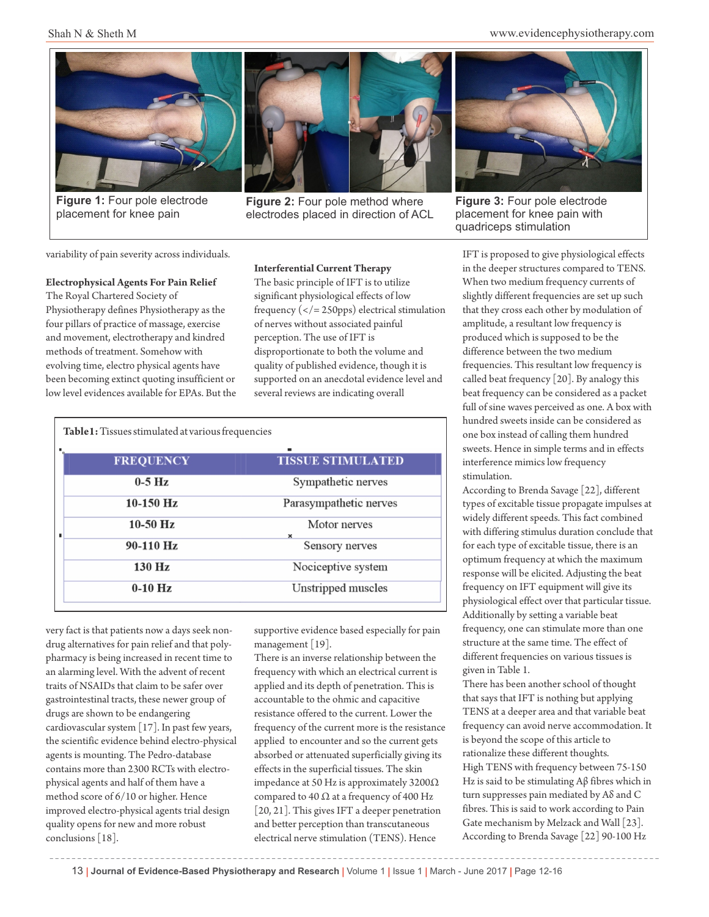Shah N & Sheth M www.evidencephysiotherapy.com



**Figure 1:** Four pole electrode placement for knee pain



**Figure 2:** Four pole method where electrodes placed in direction of ACL



**Figure 3:** Four pole electrode placement for knee pain with quadriceps stimulation

variability of pain severity across individuals.

### **Electrophysical Agents For Pain Relief**

The Royal Chartered Society of Physiotherapy defines Physiotherapy as the four pillars of practice of massage, exercise and movement, electrotherapy and kindred methods of treatment. Somehow with evolving time, electro physical agents have been becoming extinct quoting insufficient or low level evidences available for EPAs. But the

### **Interferential Current Therapy**

The basic principle of IFT is to utilize significant physiological effects of low frequency ( $\lt/$  = 250pps) electrical stimulation of nerves without associated painful perception. The use of IFT is disproportionate to both the volume and quality of published evidence, though it is supported on an anecdotal evidence level and several reviews are indicating overall

| <b>Table 1:</b> Tissues stimulated at various frequencies |                  |                                           |
|-----------------------------------------------------------|------------------|-------------------------------------------|
|                                                           | <b>FREQUENCY</b> | <b>TISSUE STIMULATED</b>                  |
|                                                           | $0-5$ Hz         | Sympathetic nerves                        |
|                                                           | $10-150$ Hz      | Parasympathetic nerves                    |
| ٠                                                         | $10-50$ Hz       | Motor nerves<br>$\boldsymbol{\mathsf{x}}$ |
|                                                           | 90-110 Hz        | Sensory nerves                            |
|                                                           | 130 Hz           | Nociceptive system                        |
|                                                           | $0-10$ Hz        | Unstripped muscles                        |
|                                                           |                  |                                           |

very fact is that patients now a days seek nondrug alternatives for pain relief and that polypharmacy is being increased in recent time to an alarming level. With the advent of recent traits of NSAIDs that claim to be safer over gastrointestinal tracts, these newer group of drugs are shown to be endangering cardiovascular system [17]. In past few years, the scientific evidence behind electro-physical agents is mounting. The Pedro-database contains more than 2300 RCTs with electrophysical agents and half of them have a method score of 6/10 or higher. Hence improved electro-physical agents trial design quality opens for new and more robust conclusions [18].

supportive evidence based especially for pain management [19].

There is an inverse relationship between the frequency with which an electrical current is applied and its depth of penetration. This is accountable to the ohmic and capacitive resistance offered to the current. Lower the frequency of the current more is the resistance applied to encounter and so the current gets absorbed or attenuated superficially giving its effects in the superficial tissues. The skin impedance at 50 Hz is approximately 3200Ω compared to 40  $\Omega$  at a frequency of 400 Hz [20, 21]. This gives IFT a deeper penetration and better perception than transcutaneous electrical nerve stimulation (TENS). Hence

IFT is proposed to give physiological effects in the deeper structures compared to TENS. When two medium frequency currents of slightly different frequencies are set up such that they cross each other by modulation of amplitude, a resultant low frequency is produced which is supposed to be the difference between the two medium frequencies. This resultant low frequency is called beat frequency [20]. By analogy this beat frequency can be considered as a packet full of sine waves perceived as one. A box with hundred sweets inside can be considered as one box instead of calling them hundred sweets. Hence in simple terms and in effects interference mimics low frequency stimulation.

According to Brenda Savage [22], different types of excitable tissue propagate impulses at widely different speeds. This fact combined with differing stimulus duration conclude that for each type of excitable tissue, there is an optimum frequency at which the maximum response will be elicited. Adjusting the beat frequency on IFT equipment will give its physiological effect over that particular tissue. Additionally by setting a variable beat frequency, one can stimulate more than one structure at the same time. The effect of different frequencies on various tissues is given in Table 1.

There has been another school of thought that says that IFT is nothing but applying TENS at a deeper area and that variable beat frequency can avoid nerve accommodation. It is beyond the scope of this article to rationalize these different thoughts. High TENS with frequency between 75-150 Hz is said to be stimulating Aβ fibres which in turn suppresses pain mediated by Aδ and C fibres. This is said to work according to Pain Gate mechanism by Melzack and Wall [23]. According to Brenda Savage [22] 90-100 Hz

13 | **Journal of Evidence-Based Physiotherapy and Research** | Volume 1 | Issue 1 | March - June 2017 | Page 12-16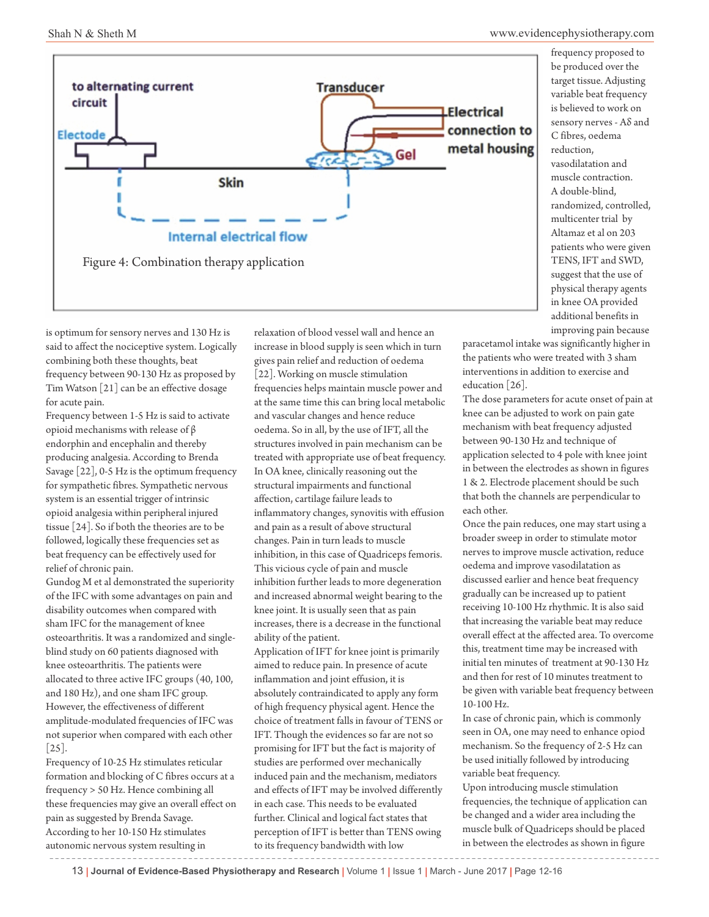

is optimum for sensory nerves and 130 Hz is said to affect the nociceptive system. Logically combining both these thoughts, beat frequency between 90-130 Hz as proposed by Tim Watson [21] can be an effective dosage for acute pain.

Frequency between 1-5 Hz is said to activate opioid mechanisms with release of β endorphin and encephalin and thereby producing analgesia. According to Brenda Savage [22], 0-5 Hz is the optimum frequency for sympathetic fibres. Sympathetic nervous system is an essential trigger of intrinsic opioid analgesia within peripheral injured tissue [24]. So if both the theories are to be followed, logically these frequencies set as beat frequency can be effectively used for relief of chronic pain.

Gundog M et al demonstrated the superiority of the IFC with some advantages on pain and disability outcomes when compared with sham IFC for the management of knee osteoarthritis. It was a randomized and singleblind study on 60 patients diagnosed with knee osteoarthritis. The patients were allocated to three active IFC groups (40, 100, and 180 Hz), and one sham IFC group. However, the effectiveness of different amplitude-modulated frequencies of IFC was not superior when compared with each other [25].

Frequency of 10-25 Hz stimulates reticular formation and blocking of C fibres occurs at a frequency > 50 Hz. Hence combining all these frequencies may give an overall effect on pain as suggested by Brenda Savage. According to her 10-150 Hz stimulates autonomic nervous system resulting in

relaxation of blood vessel wall and hence an increase in blood supply is seen which in turn gives pain relief and reduction of oedema [22]. Working on muscle stimulation frequencies helps maintain muscle power and at the same time this can bring local metabolic and vascular changes and hence reduce oedema. So in all, by the use of IFT, all the structures involved in pain mechanism can be treated with appropriate use of beat frequency. In OA knee, clinically reasoning out the structural impairments and functional affection, cartilage failure leads to inflammatory changes, synovitis with effusion and pain as a result of above structural changes. Pain in turn leads to muscle inhibition, in this case of Quadriceps femoris. This vicious cycle of pain and muscle inhibition further leads to more degeneration and increased abnormal weight bearing to the knee joint. It is usually seen that as pain increases, there is a decrease in the functional ability of the patient.

Application of IFT for knee joint is primarily aimed to reduce pain. In presence of acute inflammation and joint effusion, it is absolutely contraindicated to apply any form of high frequency physical agent. Hence the choice of treatment falls in favour of TENS or IFT. Though the evidences so far are not so promising for IFT but the fact is majority of studies are performed over mechanically induced pain and the mechanism, mediators and effects of IFT may be involved differently in each case. This needs to be evaluated further. Clinical and logical fact states that perception of IFT is better than TENS owing to its frequency bandwidth with low

frequency proposed to be produced over the target tissue. Adjusting variable beat frequency is believed to work on sensory nerves - Aδ and C fibres, oedema reduction, vasodilatation and muscle contraction. A double-blind, randomized, controlled, multicenter trial by Altamaz et al on 203 patients who were given TENS, IFT and SWD, suggest that the use of physical therapy agents in knee OA provided additional benefits in improving pain because

paracetamol intake was significantly higher in the patients who were treated with 3 sham interventions in addition to exercise and education [26].

The dose parameters for acute onset of pain at knee can be adjusted to work on pain gate mechanism with beat frequency adjusted between 90-130 Hz and technique of application selected to 4 pole with knee joint in between the electrodes as shown in figures 1 & 2. Electrode placement should be such that both the channels are perpendicular to each other.

Once the pain reduces, one may start using a broader sweep in order to stimulate motor nerves to improve muscle activation, reduce oedema and improve vasodilatation as discussed earlier and hence beat frequency gradually can be increased up to patient receiving 10-100 Hz rhythmic. It is also said that increasing the variable beat may reduce overall effect at the affected area. To overcome this, treatment time may be increased with initial ten minutes of treatment at 90-130 Hz and then for rest of 10 minutes treatment to be given with variable beat frequency between 10-100 Hz.

In case of chronic pain, which is commonly seen in OA, one may need to enhance opiod mechanism. So the frequency of 2-5 Hz can be used initially followed by introducing variable beat frequency.

Upon introducing muscle stimulation frequencies, the technique of application can be changed and a wider area including the muscle bulk of Quadriceps should be placed in between the electrodes as shown in figure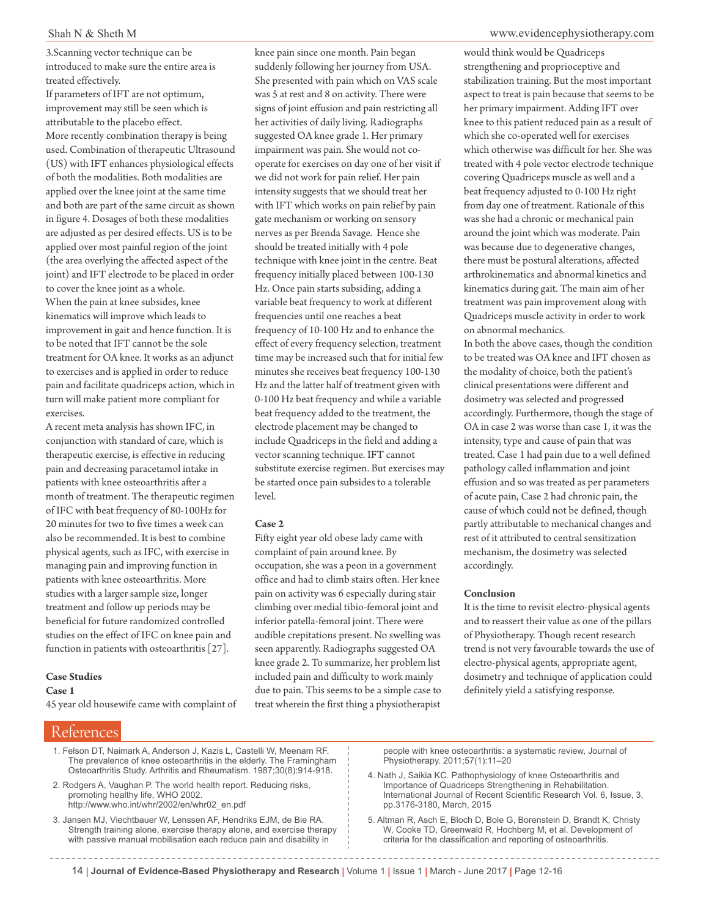3.Scanning vector technique can be introduced to make sure the entire area is treated effectively.

If parameters of IFT are not optimum, improvement may still be seen which is attributable to the placebo effect. More recently combination therapy is being used. Combination of therapeutic Ultrasound (US) with IFT enhances physiological effects of both the modalities. Both modalities are applied over the knee joint at the same time and both are part of the same circuit as shown in figure 4. Dosages of both these modalities are adjusted as per desired effects. US is to be applied over most painful region of the joint (the area overlying the affected aspect of the joint) and IFT electrode to be placed in order to cover the knee joint as a whole. When the pain at knee subsides, knee kinematics will improve which leads to improvement in gait and hence function. It is to be noted that IFT cannot be the sole treatment for OA knee. It works as an adjunct to exercises and is applied in order to reduce pain and facilitate quadriceps action, which in turn will make patient more compliant for exercises.

A recent meta analysis has shown IFC, in conjunction with standard of care, which is therapeutic exercise, is effective in reducing pain and decreasing paracetamol intake in patients with knee osteoarthritis after a month of treatment. The therapeutic regimen of IFC with beat frequency of 80-100Hz for 20 minutes for two to five times a week can also be recommended. It is best to combine physical agents, such as IFC, with exercise in managing pain and improving function in patients with knee osteoarthritis. More studies with a larger sample size, longer treatment and follow up periods may be beneficial for future randomized controlled studies on the effect of IFC on knee pain and function in patients with osteoarthritis [27].

### **Case Studies**

**Case 1**

45 year old housewife came with complaint of

References

knee pain since one month. Pain began suddenly following her journey from USA. She presented with pain which on VAS scale was 5 at rest and 8 on activity. There were signs of joint effusion and pain restricting all her activities of daily living. Radiographs suggested OA knee grade 1. Her primary impairment was pain. She would not cooperate for exercises on day one of her visit if we did not work for pain relief. Her pain intensity suggests that we should treat her with IFT which works on pain relief by pain gate mechanism or working on sensory nerves as per Brenda Savage. Hence she should be treated initially with 4 pole technique with knee joint in the centre. Beat frequency initially placed between 100-130 Hz. Once pain starts subsiding, adding a variable beat frequency to work at different frequencies until one reaches a beat frequency of 10-100 Hz and to enhance the effect of every frequency selection, treatment time may be increased such that for initial few minutes she receives beat frequency 100-130 Hz and the latter half of treatment given with 0-100 Hz beat frequency and while a variable beat frequency added to the treatment, the electrode placement may be changed to include Quadriceps in the field and adding a vector scanning technique. IFT cannot substitute exercise regimen. But exercises may

be started once pain subsides to a tolerable level.

### **Case 2**

Fifty eight year old obese lady came with complaint of pain around knee. By occupation, she was a peon in a government office and had to climb stairs often. Her knee pain on activity was 6 especially during stair climbing over medial tibio-femoral joint and inferior patella-femoral joint. There were audible crepitations present. No swelling was seen apparently. Radiographs suggested OA knee grade 2. To summarize, her problem list included pain and difficulty to work mainly due to pain. This seems to be a simple case to treat wherein the first thing a physiotherapist

would think would be Quadriceps strengthening and proprioceptive and stabilization training. But the most important aspect to treat is pain because that seems to be her primary impairment. Adding IFT over knee to this patient reduced pain as a result of which she co-operated well for exercises which otherwise was difficult for her. She was treated with 4 pole vector electrode technique covering Quadriceps muscle as well and a beat frequency adjusted to 0-100 Hz right from day one of treatment. Rationale of this was she had a chronic or mechanical pain around the joint which was moderate. Pain was because due to degenerative changes, there must be postural alterations, affected arthrokinematics and abnormal kinetics and kinematics during gait. The main aim of her treatment was pain improvement along with Quadriceps muscle activity in order to work on abnormal mechanics.

In both the above cases, though the condition to be treated was OA knee and IFT chosen as the modality of choice, both the patient's clinical presentations were different and dosimetry was selected and progressed accordingly. Furthermore, though the stage of OA in case 2 was worse than case 1, it was the intensity, type and cause of pain that was treated. Case 1 had pain due to a well defined pathology called inflammation and joint effusion and so was treated as per parameters of acute pain, Case 2 had chronic pain, the cause of which could not be defined, though partly attributable to mechanical changes and rest of it attributed to central sensitization mechanism, the dosimetry was selected accordingly.

### **Conclusion**

It is the time to revisit electro-physical agents and to reassert their value as one of the pillars of Physiotherapy. Though recent research trend is not very favourable towards the use of electro-physical agents, appropriate agent, dosimetry and technique of application could definitely yield a satisfying response.

1. Felson DT, Naimark A, Anderson J, Kazis L, Castelli W, Meenam RF. The prevalence of knee osteoarthritis in the elderly. The Framingham Osteoarthritis Study. Arthritis and Rheumatism. 1987;30(8):914-918.

2. Rodgers A, Vaughan P. The world health report. Reducing risks, promoting healthy life, WHO 2002. http://www.who.int/whr/2002/en/whr02\_en.pdf

3. Jansen MJ, Viechtbauer W, Lenssen AF, Hendriks EJM, de Bie RA. Strength training alone, exercise therapy alone, and exercise therapy with passive manual mobilisation each reduce pain and disability in

people with knee osteoarthritis: a systematic review, Journal of Physiotherapy. 2011;57(1):11–20

4. Nath J, Saikia KC. Pathophysiology of knee Osteoarthritis and Importance of Quadriceps Strengthening in Rehabilitation. International Journal of Recent Scientific Research Vol. 6, Issue, 3, pp.3176-3180, March, 2015

5. Altman R, Asch E, Bloch D, Bole G, Borenstein D, Brandt K, Christy W, Cooke TD, Greenwald R, Hochberg M, et al. Development of criteria for the classification and reporting of osteoarthritis.

14 | **Journal of Evidence-Based Physiotherapy and Research** | Volume 1 | Issue 1 | March - June 2017 | Page 12-16